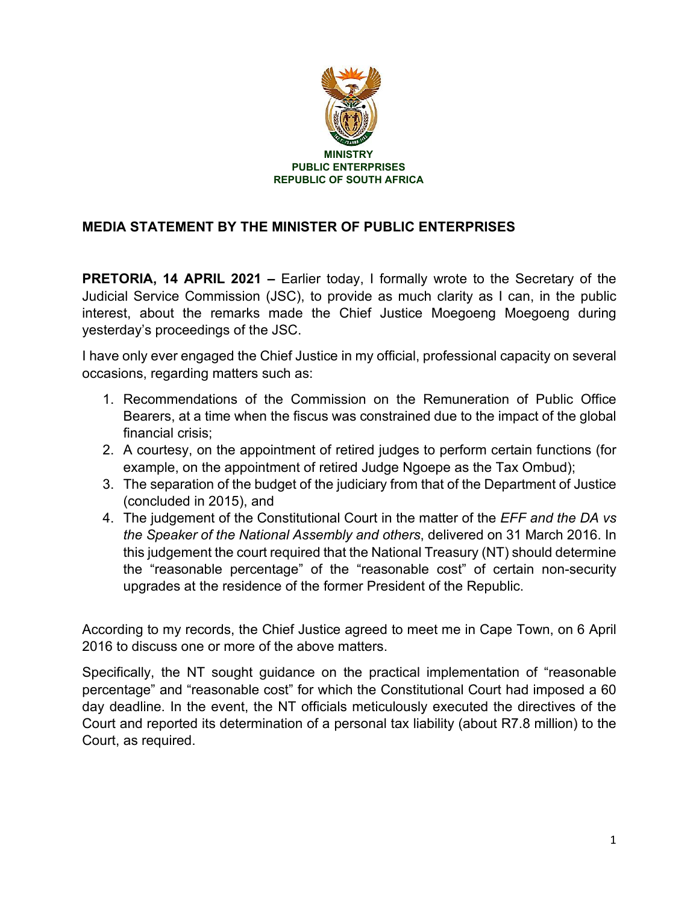

## **MEDIA STATEMENT BY THE MINISTER OF PUBLIC ENTERPRISES**

**PRETORIA, 14 APRIL 2021 –** Earlier today, I formally wrote to the Secretary of the Judicial Service Commission (JSC), to provide as much clarity as I can, in the public interest, about the remarks made the Chief Justice Moegoeng Moegoeng during yesterday's proceedings of the JSC.

I have only ever engaged the Chief Justice in my official, professional capacity on several occasions, regarding matters such as:

- 1. Recommendations of the Commission on the Remuneration of Public Office Bearers, at a time when the fiscus was constrained due to the impact of the global financial crisis;
- 2. A courtesy, on the appointment of retired judges to perform certain functions (for example, on the appointment of retired Judge Ngoepe as the Tax Ombud);
- 3. The separation of the budget of the judiciary from that of the Department of Justice (concluded in 2015), and
- 4. The judgement of the Constitutional Court in the matter of the *EFF and the DA vs the Speaker of the National Assembly and others*, delivered on 31 March 2016. In this judgement the court required that the National Treasury (NT) should determine the "reasonable percentage" of the "reasonable cost" of certain non-security upgrades at the residence of the former President of the Republic.

According to my records, the Chief Justice agreed to meet me in Cape Town, on 6 April 2016 to discuss one or more of the above matters.

Specifically, the NT sought guidance on the practical implementation of "reasonable percentage" and "reasonable cost" for which the Constitutional Court had imposed a 60 day deadline. In the event, the NT officials meticulously executed the directives of the Court and reported its determination of a personal tax liability (about R7.8 million) to the Court, as required.